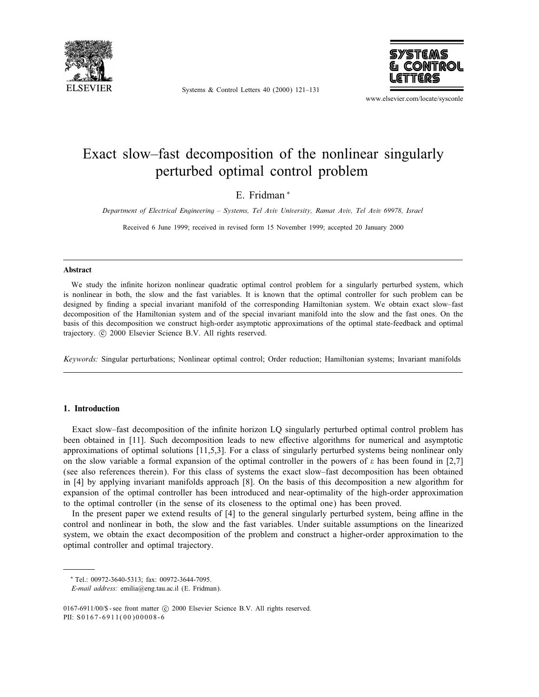

Systems & Control Letters 40 (2000) 121–131



www.elsevier.com/locate/sysconle

# Exact slow–fast decomposition of the nonlinear singularly perturbed optimal control problem

# E. Fridman <sup>∗</sup>

Department of Electrical Engineering – Systems, Tel Aviv University, Ramat Aviv, Tel Aviv 69978, Israel

Received 6 June 1999; received in revised form 15 November 1999; accepted 20 January 2000

#### Abstract

We study the infinite horizon nonlinear quadratic optimal control problem for a singularly perturbed system, which is nonlinear in both, the slow and the fast variables. It is known that the optimal controller for such problem can be designed by finding a special invariant manifold of the corresponding Hamiltonian system. We obtain exact slow–fast decomposition of the Hamiltonian system and of the special invariant manifold into the slow and the fast ones. On the basis of this decomposition we construct high-order asymptotic approximations of the optimal state-feedback and optimal trajectory.  $\odot$  2000 Elsevier Science B.V. All rights reserved.

Keywords: Singular perturbations; Nonlinear optimal control; Order reduction; Hamiltonian systems; Invariant manifolds

# 1. Introduction

Exact slow–fast decomposition of the infinite horizon LQ singularly perturbed optimal control problem has been obtained in [11]. Such decomposition leads to new effective algorithms for numerical and asymptotic approximations of optimal solutions [11,5,3]. For a class of singularly perturbed systems being nonlinear only on the slow variable a formal expansion of the optimal controller in the powers of  $\varepsilon$  has been found in [2,7] (see also references therein). For this class of systems the exact slow–fast decomposition has been obtained in [4] by applying invariant manifolds approach [8]. On the basis of this decomposition a new algorithm for expansion of the optimal controller has been introduced and near-optimality of the high-order approximation to the optimal controller (in the sense of its closeness to the optimal one) has been proved.

In the present paper we extend results of  $[4]$  to the general singularly perturbed system, being affine in the control and nonlinear in both, the slow and the fast variables. Under suitable assumptions on the linearized system, we obtain the exact decomposition of the problem and construct a higher-order approximation to the optimal controller and optimal trajectory.

<sup>∗</sup> Tel.: 00972-3640-5313; fax: 00972-3644-7095.

E-mail address: emilia@eng.tau.ac.il (E. Fridman).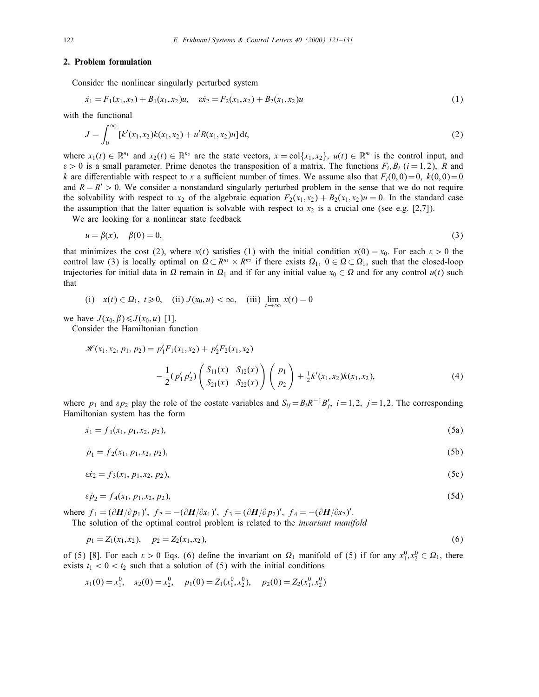# 2. Problem formulation

Consider the nonlinear singularly perturbed system

$$
\dot{x}_1 = F_1(x_1, x_2) + B_1(x_1, x_2)u, \quad \dot{x}_2 = F_2(x_1, x_2) + B_2(x_1, x_2)u \tag{1}
$$

with the functional

$$
J = \int_0^\infty \left[ k'(x_1, x_2) k(x_1, x_2) + u' R(x_1, x_2) u \right] dt, \tag{2}
$$

where  $x_1(t) \in \mathbb{R}^{n_1}$  and  $x_2(t) \in \mathbb{R}^{n_2}$  are the state vectors,  $x = \text{col}\{x_1, x_2\}$ ,  $u(t) \in \mathbb{R}^m$  is the control input, and  $\varepsilon > 0$  is a small parameter. Prime denotes the transposition of a matrix. The functions  $F_i, B_i$  ( $i = 1, 2$ ), R and k are differentiable with respect to x a sufficient number of times. We assume also that  $F_i(0,0)=0$ ,  $k(0,0)=0$ and  $R = R' > 0$ . We consider a nonstandard singularly perturbed problem in the sense that we do not require the solvability with respect to  $x_2$  of the algebraic equation  $F_2(x_1, x_2) + B_2(x_1, x_2)u = 0$ . In the standard case the assumption that the latter equation is solvable with respect to  $x_2$  is a crucial one (see e.g. [2,7]).

We are looking for a nonlinear state feedback

$$
u = \beta(x), \quad \beta(0) = 0,\tag{3}
$$

that minimizes the cost (2), where  $x(t)$  satisfies (1) with the initial condition  $x(0) = x_0$ . For each  $\varepsilon > 0$  the control law (3) is locally optimal on  $\Omega \subset \mathbb{R}^{n_1} \times \mathbb{R}^{n_2}$  if there exists  $\Omega_1$ ,  $0 \in \Omega \subset \Omega_1$ , such that the closed-loop trajectories for initial data in  $\Omega$  remain in  $\Omega_1$  and if for any initial value  $x_0 \in \Omega$  and for any control  $u(t)$  such that

(i) 
$$
x(t) \in \Omega_1
$$
,  $t \ge 0$ , (ii)  $J(x_0, u) < \infty$ , (iii)  $\lim_{t \to \infty} x(t) = 0$ 

we have  $J(x_0, \beta) \leq J(x_0, u)$  [1].

Consider the Hamiltonian function

$$
\mathcal{H}(x_1, x_2, p_1, p_2) = p'_1 F_1(x_1, x_2) + p'_2 F_2(x_1, x_2)
$$
  

$$
-\frac{1}{2}(p'_1 p'_2) \begin{pmatrix} S_{11}(x) & S_{12}(x) \\ S_{21}(x) & S_{22}(x) \end{pmatrix} \begin{pmatrix} p_1 \\ p_2 \end{pmatrix} + \frac{1}{2} k'(x_1, x_2) k(x_1, x_2),
$$
 (4)

where  $p_1$  and  $\epsilon p_2$  play the role of the costate variables and  $S_{ij} = B_i R^{-1} B'_j$ ,  $i = 1, 2, j = 1, 2$ . The corresponding Hamiltonian system has the form

$$
\dot{x}_1 = f_1(x_1, p_1, x_2, p_2),\tag{5a}
$$

$$
\dot{p}_1 = f_2(x_1, p_1, x_2, p_2),\tag{5b}
$$

$$
\dot{\alpha}z_2 = f_3(x_1, p_1, x_2, p_2),\tag{5c}
$$

$$
\varepsilon \dot{p}_2 = f_4(x_1, p_1, x_2, p_2),\tag{5d}
$$

where  $f_1 = (\partial H/\partial p_1)'$ ,  $f_2 = -(\partial H/\partial x_1)'$ ,  $f_3 = (\partial H/\partial p_2)'$ ,  $f_4 = -(\partial H/\partial x_2)'$ .

The solution of the optimal control problem is related to the *invariant manifold* 

$$
p_1 = Z_1(x_1, x_2), \quad p_2 = Z_2(x_1, x_2), \tag{6}
$$

of (5) [8]. For each  $\varepsilon > 0$  Eqs. (6) define the invariant on  $\Omega_1$  manifold of (5) if for any  $x_1^0, x_2^0 \in \Omega_1$ , there exists  $t_1 < 0 < t_2$  such that a solution of (5) with the initial conditions

$$
x_1(0) = x_1^0
$$
,  $x_2(0) = x_2^0$ ,  $p_1(0) = Z_1(x_1^0, x_2^0)$ ,  $p_2(0) = Z_2(x_1^0, x_2^0)$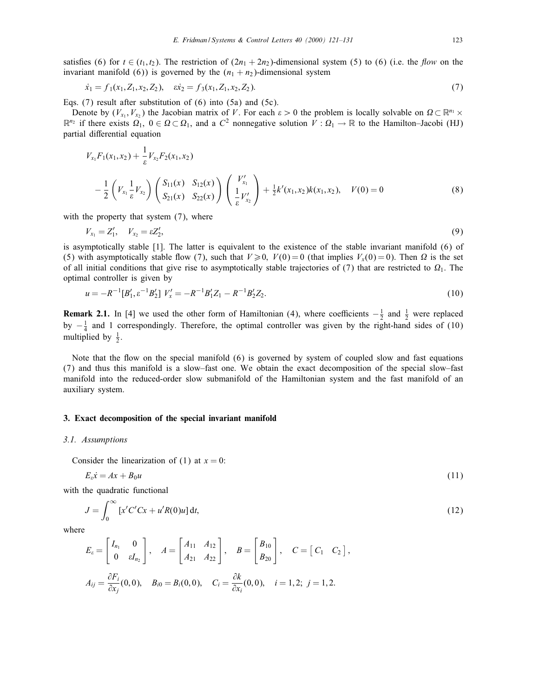satisfies (6) for  $t \in (t_1, t_2)$ . The restriction of  $(2n_1 + 2n_2)$ -dimensional system (5) to (6) (i.e. the *flow* on the invariant manifold (6)) is governed by the  $(n_1 + n_2)$ -dimensional system

$$
\dot{x}_1 = f_1(x_1, Z_1, x_2, Z_2), \quad \dot{x}_2 = f_3(x_1, Z_1, x_2, Z_2). \tag{7}
$$

Eqs. (7) result after substitution of (6) into (5a) and (5c).

Denote by  $(V_{x_1}, V_{x_2})$  the Jacobian matrix of V. For each  $\varepsilon > 0$  the problem is locally solvable on  $\Omega \subset \mathbb{R}^{n_1} \times$  $\mathbb{R}^{n_2}$  if there exists  $\Omega_1, 0 \in \Omega \subset \Omega_1$ , and a  $C^2$  nonnegative solution  $V : \Omega_1 \to \mathbb{R}$  to the Hamilton–Jacobi (HJ) partial differential equation

$$
V_{x_1}F_1(x_1, x_2) + \frac{1}{\varepsilon} V_{x_2}F_2(x_1, x_2)
$$
  

$$
- \frac{1}{2} \left( V_{x_1} \frac{1}{\varepsilon} V_{x_2} \right) \left( \frac{S_{11}(x)}{S_{21}(x)} \frac{S_{12}(x)}{S_{22}(x)} \right) \left( \frac{V'_{x_1}}{\frac{1}{\varepsilon} V'_{x_2}} \right) + \frac{1}{2} k'(x_1, x_2)k(x_1, x_2), \quad V(0) = 0
$$
 (8)

with the property that system  $(7)$ , where

$$
V_{x_1} = Z'_1, \quad V_{x_2} = \varepsilon Z'_2,\tag{9}
$$

is asymptotically stable [1]. The latter is equivalent to the existence of the stable invariant manifold (6) of (5) with asymptotically stable flow (7), such that  $V \ge 0$ ,  $V(0) = 0$  (that implies  $V_x(0) = 0$ ). Then  $\Omega$  is the set of all initial conditions that give rise to asymptotically stable trajectories of  $(7)$  that are restricted to  $\Omega_1$ . The optimal controller is given by

$$
u = -R^{-1}[B'_1, \varepsilon^{-1}B'_2] \ V'_x = -R^{-1}B'_1Z_1 - R^{-1}B'_2Z_2. \tag{10}
$$

**Remark 2.1.** In [4] we used the other form of Hamiltonian (4), where coefficients  $-\frac{1}{2}$  and  $\frac{1}{2}$  were replaced by  $-\frac{1}{4}$  and 1 correspondingly. Therefore, the optimal controller was given by the right-hand sides of (10) multiplied by  $\frac{1}{2}$ .

Note that the flow on the special manifold (6) is governed by system of coupled slow and fast equations (7) and thus this manifold is a slow–fast one. We obtain the exact decomposition of the special slow–fast manifold into the reduced-order slow submanifold of the Hamiltonian system and the fast manifold of an auxiliary system.

# 3. Exact decomposition of the special invariant manifold

#### 3.1. Assumptions

Consider the linearization of (1) at  $x = 0$ :

$$
E_{\varepsilon} \dot{x} = Ax + B_0 u \tag{11}
$$

with the quadratic functional

$$
J = \int_0^\infty \left[ x' C' C x + u' R(0) u \right] dt,\tag{12}
$$

;

where

$$
E_{\varepsilon} = \begin{bmatrix} I_{n_1} & 0 \\ 0 & \varepsilon I_{n_2} \end{bmatrix}, \quad A = \begin{bmatrix} A_{11} & A_{12} \\ A_{21} & A_{22} \end{bmatrix}, \quad B = \begin{bmatrix} B_{10} \\ B_{20} \end{bmatrix}, \quad C = \begin{bmatrix} C_1 & C_2 \end{bmatrix}
$$

$$
A_{ij} = \frac{\partial F_i}{\partial x_j}(0,0), \quad B_{i0} = B_i(0,0), \quad C_i = \frac{\partial k}{\partial x_i}(0,0), \quad i = 1,2; \ j = 1,2.
$$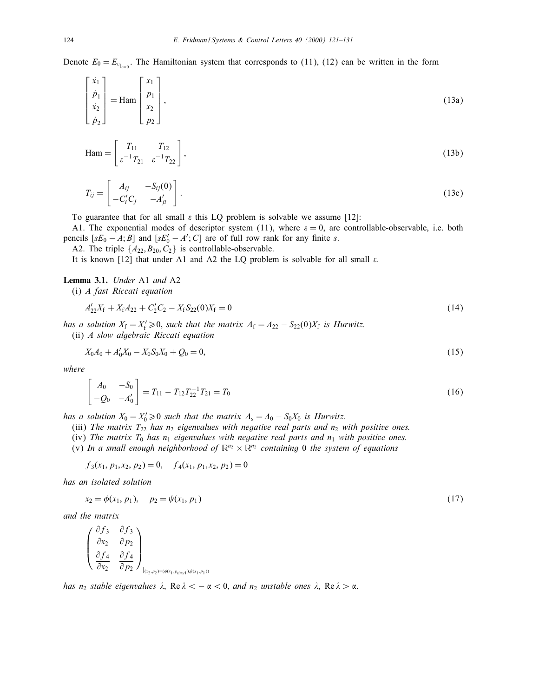Denote  $E_0 = E_{\epsilon_{|z=0}}$ . The Hamiltonian system that corresponds to (11), (12) can be written in the form

$$
\begin{bmatrix} \dot{x}_1 \\ \dot{p}_1 \\ \dot{x}_2 \\ \dot{p}_2 \end{bmatrix} = \text{Ham} \begin{bmatrix} x_1 \\ p_1 \\ x_2 \\ p_2 \end{bmatrix}, \tag{13a}
$$

$$
\text{Ham} = \begin{bmatrix} T_{11} & T_{12} \\ \varepsilon^{-1} T_{21} & \varepsilon^{-1} T_{22} \end{bmatrix},\tag{13b}
$$

$$
T_{ij} = \begin{bmatrix} A_{ij} & -S_{ij}(0) \\ -C'_i C_j & -A'_{ji} \end{bmatrix}.
$$
 (13c)

To guarantee that for all small  $\varepsilon$  this LQ problem is solvable we assume [12]:

A1. The exponential modes of descriptor system (11), where  $\varepsilon = 0$ , are controllable-observable, i.e. both pencils  $[sE_0 - A; B]$  and  $[sE'_0 - A'; C]$  are of full row rank for any finite s.

A2. The triple  $\{A_{22}, B_{20}, C_2\}$  is controllable-observable.

It is known [12] that under A1 and A2 the LQ problem is solvable for all small  $\varepsilon$ .

#### Lemma 3.1. Under A1 and A2

(i) A fast Riccati equation

$$
A'_{22}X_f + X_f A_{22} + C'_2 C_2 - X_f S_{22}(0)X_f = 0
$$
\n(14)

has a solution  $X_f = X'_f \geq 0$ , such that the matrix  $A_f = A_{22} - S_{22}(0)X_f$  is Hurwitz. (ii) A slow algebraic Riccati equation

$$
X_0A_0 + A'_0X_0 - X_0S_0X_0 + Q_0 = 0,\t\t(15)
$$

where

$$
\begin{bmatrix} A_0 & -S_0 \ -Q_0 & -A'_0 \end{bmatrix} = T_{11} - T_{12}T_{22}^{-1}T_{21} = T_0
$$
\n(16)

has a solution  $X_0 = X'_0 \geqslant 0$  such that the matrix  $\Lambda_s = A_0 - S_0 X_0$  is Hurwitz.

(iii) The matrix  $T_{22}$  has  $n_2$  eigenvalues with negative real parts and  $n_2$  with positive ones.

(iv) The matrix  $T_0$  has  $n_1$  eigenvalues with negative real parts and  $n_1$  with positive ones.

(v) In a small enough neighborhood of  $\mathbb{R}^{n_2} \times \mathbb{R}^{n_2}$  containing 0 the system of equations

 $f_3(x_1, p_1, x_2, p_2) = 0, \quad f_4(x_1, p_1, x_2, p_2) = 0$ 

has an isolated solution

$$
x_2 = \phi(x_1, p_1), \quad p_2 = \psi(x_1, p_1) \tag{17}
$$

and the matrix

$$
\begin{pmatrix}\n\frac{\partial f_3}{\partial x_2} & \frac{\partial f_3}{\partial p_2} \\
\frac{\partial f_4}{\partial x_2} & \frac{\partial f_4}{\partial p_2}\n\end{pmatrix}_{(x_2, p_2)=(\phi(x_1, p_{\text{tiny}}), \psi(x_1, p_1))}
$$

has  $n_2$  stable eigenvalues  $\lambda$ , Re  $\lambda < -\alpha < 0$ , and  $n_2$  unstable ones  $\lambda$ , Re  $\lambda > \alpha$ .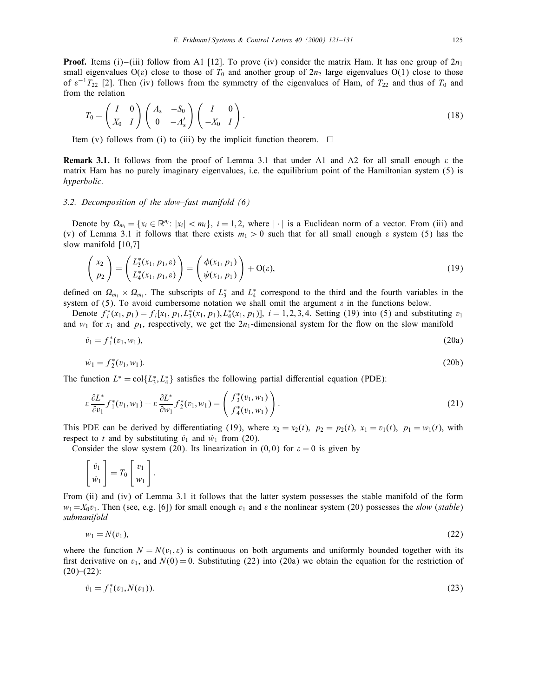**Proof.** Items (i)–(iii) follow from A1 [12]. To prove (iv) consider the matrix Ham. It has one group of  $2n_1$ small eigenvalues  $O(\varepsilon)$  close to those of  $T_0$  and another group of  $2n_2$  large eigenvalues  $O(1)$  close to those of  $\varepsilon^{-1}T_{22}$  [2]. Then (iv) follows from the symmetry of the eigenvalues of Ham, of  $T_{22}$  and thus of  $T_0$  and from the relation

$$
T_0 = \begin{pmatrix} I & 0 \\ X_0 & I \end{pmatrix} \begin{pmatrix} A_s & -S_0 \\ 0 & -A'_s \end{pmatrix} \begin{pmatrix} I & 0 \\ -X_0 & I \end{pmatrix}.
$$
 (18)

Item (v) follows from (i) to (iii) by the implicit function theorem.  $\Box$ 

**Remark 3.1.** It follows from the proof of Lemma 3.1 that under A1 and A2 for all small enough  $\varepsilon$  the matrix Ham has no purely imaginary eigenvalues, i.e. the equilibrium point of the Hamiltonian system (5) is hyperbolic.

#### 3.2. Decomposition of the slow–fast manifold (6)

Denote by  $\Omega_{m_i} = \{x_i \in \mathbb{R}^{n_i}: |x_i| < m_i\}, i = 1, 2$ , where  $|\cdot|$  is a Euclidean norm of a vector. From (iii) and (v) of Lemma 3.1 it follows that there exists  $m_1 > 0$  such that for all small enough  $\varepsilon$  system (5) has the slow manifold [10,7]

$$
\begin{pmatrix} x_2 \\ p_2 \end{pmatrix} = \begin{pmatrix} L_3^*(x_1, p_1, \varepsilon) \\ L_4^*(x_1, p_1, \varepsilon) \end{pmatrix} = \begin{pmatrix} \phi(x_1, p_1) \\ \psi(x_1, p_1) \end{pmatrix} + O(\varepsilon), \tag{19}
$$

defined on  $\Omega_{m_1} \times \Omega_{m_1}$ . The subscripts of  $L_3^*$  and  $L_4^*$  correspond to the third and the fourth variables in the system of (5). To avoid cumbersome notation we shall omit the argument  $\varepsilon$  in the functions below.

Denote  $f_i^*(x_1, p_1) = f_i[x_1, p_1, L_3^*(x_1, p_1), L_4^*(x_1, p_1)], i = 1, 2, 3, 4$ . Setting (19) into (5) and substituting  $v_1$ and  $w_1$  for  $x_1$  and  $p_1$ , respectively, we get the  $2n_1$ -dimensional system for the flow on the slow manifold

$$
\dot{v}_1 = f_1^*(v_1, w_1), \tag{20a}
$$

$$
\dot{w}_1 = f_2^*(v_1, w_1). \tag{20b}
$$

The function  $L^* = col\{L_3^*, L_4^*\}$  satisfies the following partial differential equation (PDE):

$$
\varepsilon \frac{\partial L^*}{\partial v_1} f_1^*(v_1, w_1) + \varepsilon \frac{\partial L^*}{\partial w_1} f_2^*(v_1, w_1) = \begin{pmatrix} f_3^*(v_1, w_1) \\ f_4^*(v_1, w_1) \end{pmatrix} . \tag{21}
$$

This PDE can be derived by differentiating (19), where  $x_2 = x_2(t)$ ,  $p_2 = p_2(t)$ ,  $x_1 = v_1(t)$ ,  $p_1 = w_1(t)$ , with respect to t and by substituting  $\dot{v}_1$  and  $\dot{w}_1$  from (20).

Consider the slow system (20). Its linearization in (0,0) for  $\varepsilon = 0$  is given by

$$
\begin{bmatrix} \dot{v}_1 \\ \dot{w}_1 \end{bmatrix} = T_0 \begin{bmatrix} v_1 \\ w_1 \end{bmatrix}.
$$

From (ii) and (iv) of Lemma 3.1 it follows that the latter system possesses the stable manifold of the form  $w_1=X_0v_1$ . Then (see, e.g. [6]) for small enough  $v_1$  and  $\varepsilon$  the nonlinear system (20) possesses the slow (stable) submanifold

$$
w_1 = N(v_1), \tag{22}
$$

where the function  $N = N(v_1, \varepsilon)$  is continuous on both arguments and uniformly bounded together with its first derivative on  $v_1$ , and  $N(0) = 0$ . Substituting (22) into (20a) we obtain the equation for the restriction of  $(20)–(22)$ :

$$
\dot{v}_1 = f_1^*(v_1, N(v_1)). \tag{23}
$$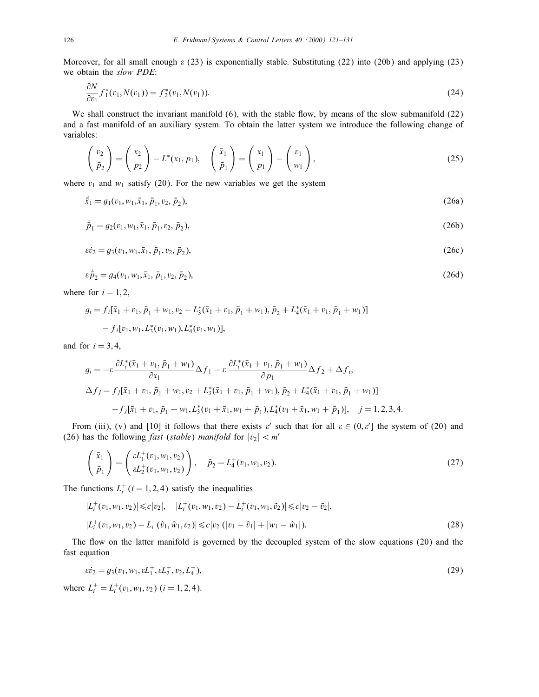Moreover, for all small enough  $\varepsilon$  (23) is exponentially stable. Substituting (22) into (20b) and applying (23) we obtain the slow PDE:

$$
\frac{\partial N}{\partial v_1} f_1^*(v_1, N(v_1)) = f_2^*(v_1, N(v_1)).
$$
\n(24)

We shall construct the invariant manifold  $(6)$ , with the stable flow, by means of the slow submanifold  $(22)$ and a fast manifold of an auxiliary system. To obtain the latter system we introduce the following change of variables:

$$
\begin{pmatrix} v_2 \\ \bar{p}_2 \end{pmatrix} = \begin{pmatrix} x_2 \\ p_2 \end{pmatrix} - L^*(x_1, p_1), \quad \begin{pmatrix} \bar{x}_1 \\ \bar{p}_1 \end{pmatrix} = \begin{pmatrix} x_1 \\ p_1 \end{pmatrix} - \begin{pmatrix} v_1 \\ w_1 \end{pmatrix}, \tag{25}
$$

where  $v_1$  and  $w_1$  satisfy (20). For the new variables we get the system

 $\dot{\bar{x}}_1 = g_1(v_1, w_1, \bar{x}_1, \bar{p}_1, v_2, \bar{p}_2),$  (26a)

$$
\dot{\bar{p}}_1 = g_2(v_1, w_1, \bar{x}_1, \bar{p}_1, v_2, \bar{p}_2),\tag{26b}
$$

$$
\varepsilon \dot{v}_2 = g_3(v_1, w_1, \bar{x}_1, \bar{p}_1, v_2, \bar{p}_2),\tag{26c}
$$

$$
\varepsilon \dot{\vec{p}}_2 = g_4(v_1, w_1, \bar{x}_1, \bar{p}_1, v_2, \bar{p}_2),\tag{26d}
$$

where for  $i = 1, 2$ ,

$$
g_i = f_i[\bar{x}_1 + v_1, \bar{p}_1 + w_1, v_2 + L_3^*(\bar{x}_1 + v_1, \bar{p}_1 + w_1), \bar{p}_2 + L_4^*(\bar{x}_1 + v_1, \bar{p}_1 + w_1)]
$$
  
-  $f_i[v_1, w_1, L_3^*(v_1, w_1), L_4^*(v_1, w_1)],$ 

and for  $i = 3, 4$ ,

$$
g_i = -\varepsilon \frac{\partial L_i^*(\bar{x}_1 + v_1, \bar{p}_1 + w_1)}{\partial x_1} \Delta f_1 - \varepsilon \frac{\partial L_i^*(\bar{x}_1 + v_1, \bar{p}_1 + w_1)}{\partial p_1} \Delta f_2 + \Delta f_i,
$$
  

$$
\Delta f_j = f_j[\bar{x}_1 + v_1, \bar{p}_1 + w_1, v_2 + L_3^*(\bar{x}_1 + v_1, \bar{p}_1 + w_1), \bar{p}_2 + L_4^*(\bar{x}_1 + v_1, \bar{p}_1 + w_1)]
$$

$$
-f_j[\bar{x}_1 + v_1, \bar{p}_1 + w_1, L_3^*(v_1 + \bar{x}_1, w_1 + \bar{p}_1), L_4^*(v_1 + \bar{x}_1, w_1 + \bar{p}_1)], \quad j = 1, 2, 3, 4.
$$

From (iii), (v) and [10] it follows that there exists  $\varepsilon'$  such that for all  $\varepsilon \in (0,\varepsilon']$  the system of (20) and (26) has the following *fast* (*stable*) *manifold* for  $|v_2| < m'$ 

$$
\begin{pmatrix} \bar{x}_1 \\ \bar{p}_1 \end{pmatrix} = \begin{pmatrix} \varepsilon L_1^+(v_1, w_1, v_2) \\ \varepsilon L_2^+(v_1, w_1, v_2) \end{pmatrix}, \quad \bar{p}_2 = L_4^+(v_1, w_1, v_2). \tag{27}
$$

The functions  $L_i^+(i=1,2,4)$  satisfy the inequalities

$$
|L_i^+(v_1, w_1, v_2)| \le c|v_2|, \quad |L_i^+(v_1, w_1, v_2) - L_i^+(v_1, w_1, \tilde{v}_2)| \le c|v_2 - \tilde{v}_2|,
$$
  

$$
|L_i^+(v_1, w_1, v_2) - L_i^+(\tilde{v}_1, \tilde{w}_1, v_2)| \le c|v_2|(|v_1 - \tilde{v}_1| + |w_1 - \tilde{w}_1|).
$$
 (28)

The flow on the latter manifold is governed by the decoupled system of the slow equations (20) and the fast equation

$$
\varepsilon \dot{v}_2 = g_3(v_1, w_1, \varepsilon L_1^+, \varepsilon L_2^+, v_2, L_4^+),\tag{29}
$$

where  $L_i^+ = L_i^+(v_1, w_1, v_2)$   $(i = 1, 2, 4)$ .

 $\sim$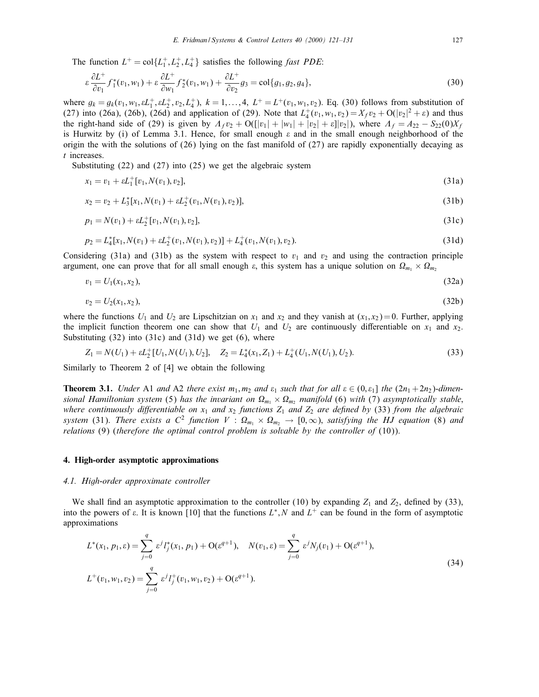The function  $L^+ = \text{col}\{L_1^+, L_2^+, L_4^+\}$  satisfies the following *fast PDE*:

$$
\varepsilon \frac{\partial L^+}{\partial v_1} f_1^*(v_1, w_1) + \varepsilon \frac{\partial L^+}{\partial w_1} f_2^*(v_1, w_1) + \frac{\partial L^+}{\partial v_2} g_3 = \text{col}\{g_1, g_2, g_4\},\tag{30}
$$

where  $g_k = g_k(v_1, w_1, \varepsilon L_1^+, \varepsilon L_2^+, v_2, L_4^+)$ ,  $k = 1, ..., 4$ ,  $L^+ = L^+(v_1, w_1, v_2)$ . Eq. (30) follows from substitution of (27) into (26a), (26b), (26d) and application of (29). Note that  $L_4^+(v_1, w_1, v_2) = X_f v_2 + O(|v_2|^2 + \varepsilon)$  and thus the right-hand side of (29) is given by  $A_f v_2 + O(|v_1| + |w_1| + |v_2| + \varepsilon ||v_2|)$ , where  $A_f = A_{22} - S_{22}(0)X_f$ is Hurwitz by (i) of Lemma 3.1. Hence, for small enough  $\varepsilon$  and in the small enough neighborhood of the origin the with the solutions of (26) lying on the fast manifold of (27) are rapidly exponentially decaying as t increases.

Substituting (22) and (27) into (25) we get the algebraic system

$$
x_1 = v_1 + \varepsilon L_1^+[v_1, N(v_1), v_2], \tag{31a}
$$

$$
x_2 = v_2 + L_3^*[x_1, N(v_1) + \varepsilon L_2^+(v_1, N(v_1), v_2)],
$$
\n(31b)

$$
p_1 = N(v_1) + \varepsilon L_2^+[v_1, N(v_1), v_2],\tag{31c}
$$

$$
p_2 = L_4^*[x_1, N(v_1) + \varepsilon L_2^+(v_1, N(v_1), v_2)] + L_4^+(v_1, N(v_1), v_2).
$$
\n(31d)

Considering (31a) and (31b) as the system with respect to  $v_1$  and  $v_2$  and using the contraction principle argument, one can prove that for all small enough  $\varepsilon$ , this system has a unique solution on  $\Omega_{m_1} \times \Omega_{m_2}$ 

$$
v_1 = U_1(x_1, x_2), \tag{32a}
$$

$$
v_2 = U_2(x_1, x_2), \tag{32b}
$$

where the functions  $U_1$  and  $U_2$  are Lipschitzian on  $x_1$  and  $x_2$  and they vanish at  $(x_1, x_2) = 0$ . Further, applying the implicit function theorem one can show that  $U_1$  and  $U_2$  are continuously differentiable on  $x_1$  and  $x_2$ . Substituting  $(32)$  into  $(31c)$  and  $(31d)$  we get  $(6)$ , where

$$
Z_1 = N(U_1) + \varepsilon L_2^+[U_1, N(U_1), U_2], \quad Z_2 = L_4^*(x_1, Z_1) + L_4^+(U_1, N(U_1), U_2). \tag{33}
$$

Similarly to Theorem 2 of [4] we obtain the following

**Theorem 3.1.** Under A1 and A2 there exist  $m_1, m_2$  and  $\varepsilon_1$  such that for all  $\varepsilon \in (0, \varepsilon_1]$  the  $(2n_1 + 2n_2)$ -dimensional Hamiltonian system (5) has the invariant on  $\Omega_{m_1}\times\Omega_{m_2}$  manifold (6) with (7) asymptotically stable, where continuously differentiable on  $x_1$  and  $x_2$  functions  $Z_1$  and  $Z_2$  are defined by (33) from the algebraic system (31). There exists a  $C^2$  function  $V: \Omega_{m_1} \times \Omega_{m_2} \to [0, \infty)$ , satisfying the HJ equation (8) and relations (9) (therefore the optimal control problem is solvable by the controller of (10)).

#### 4. High-order asymptotic approximations

### 4.1. High-order approximate controller

We shall find an asymptotic approximation to the controller (10) by expanding  $Z_1$  and  $Z_2$ , defined by (33), into the powers of  $\varepsilon$ . It is known [10] that the functions  $L^*$ , N and  $L^+$  can be found in the form of asymptotic approximations

$$
L^*(x_1, p_1, \varepsilon) = \sum_{j=0}^q \varepsilon^j l_j^*(x_1, p_1) + O(\varepsilon^{q+1}), \quad N(v_1, \varepsilon) = \sum_{j=0}^q \varepsilon^j N_j(v_1) + O(\varepsilon^{q+1}),
$$
  

$$
L^+(v_1, w_1, v_2) = \sum_{j=0}^q \varepsilon^j l_j^+(v_1, w_1, v_2) + O(\varepsilon^{q+1}).
$$
 (34)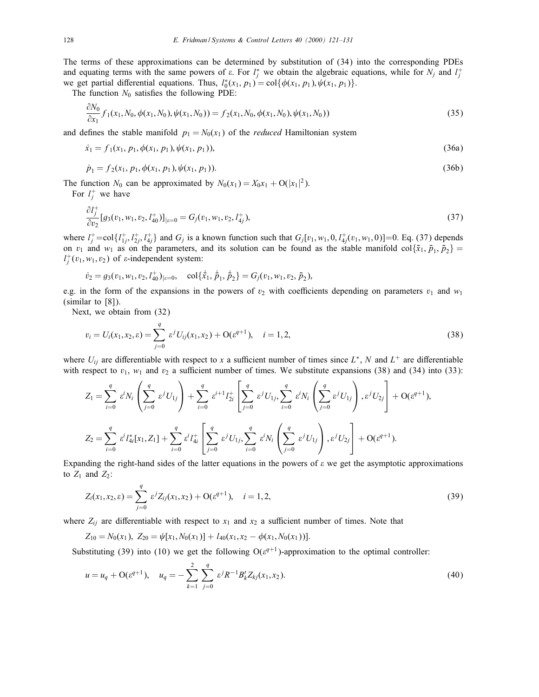The terms of these approximations can be determined by substitution of (34) into the corresponding PDEs and equating terms with the same powers of  $\varepsilon$ . For  $l_j^*$  we obtain the algebraic equations, while for  $N_j$  and  $l_j^+$ we get partial differential equations. Thus,  $l_0^*(x_1, p_1) = \text{col}\{\phi(x_1, p_1), \psi(x_1, p_1)\}.$ 

The function  $N_0$  satisfies the following PDE:

$$
\frac{\partial N_0}{\partial x_1} f_1(x_1, N_0, \phi(x_1, N_0), \psi(x_1, N_0)) = f_2(x_1, N_0, \phi(x_1, N_0), \psi(x_1, N_0))
$$
\n(35)

and defines the stable manifold  $p_1 = N_0(x_1)$  of the *reduced* Hamiltonian system

$$
\dot{x}_1 = f_1(x_1, p_1, \phi(x_1, p_1), \psi(x_1, p_1)),\tag{36a}
$$

$$
\dot{p}_1 = f_2(x_1, p_1, \phi(x_1, p_1), \psi(x_1, p_1)).\tag{36b}
$$

The function  $N_0$  can be approximated by  $N_0(x_1) = X_0x_1 + O(|x_1|^2)$ .

For  $l_j^+$  we have

 $\sim$ 

$$
\frac{\partial l_j^+}{\partial v_2} [g_3(v_1, w_1, v_2, l_{40}^+)]_{|\varepsilon=0} = G_j(v_1, w_1, v_2, l_{4j}^+), \tag{37}
$$

where  $l_j^+=$ col $\{l_{1j}^+, l_{2j}^+, l_{4j}^+\}$  and  $G_j$  is a known function such that  $G_j[v_1, w_1, 0, l_{4j}^+(v_1, w_1, 0)] = 0$ . Eq. (37) depends on  $v_1$  and  $w_1$  as on the parameters, and its solution can be found as the stable manifold col $\{\bar{x}_1, \bar{p}_1, \bar{p}_2\}$  $l_j^+(v_1, w_1, v_2)$  of  $\varepsilon$ -independent system:

$$
\dot{v}_2 = g_3(v_1, w_1, v_2, l_{40}^+)_{|\varepsilon=0}, \quad \text{col}\{\dot{\bar{x}}_1, \dot{\bar{p}}_1, \dot{\bar{p}}_2\} = G_j(v_1, w_1, v_2, \bar{p}_2),
$$

e.g. in the form of the expansions in the powers of  $v_2$  with coefficients depending on parameters  $v_1$  and  $w_1$ (similar to [8]).

Next, we obtain from (32)

$$
v_i = U_i(x_1, x_2, \varepsilon) = \sum_{j=0}^q \varepsilon^j U_{ij}(x_1, x_2) + \mathcal{O}(\varepsilon^{q+1}), \quad i = 1, 2,
$$
\n(38)

where  $U_{ij}$  are differentiable with respect to x a sufficient number of times since  $L^*$ , N and  $L^+$  are differentiable with respect to  $v_1$ ,  $w_1$  and  $v_2$  a sufficient number of times. We substitute expansions (38) and (34) into (33):

$$
Z_{1} = \sum_{i=0}^{q} \varepsilon^{i} N_{i} \left( \sum_{j=0}^{q} \varepsilon^{j} U_{1j} \right) + \sum_{i=0}^{q} \varepsilon^{i+1} l_{2i}^{+} \left[ \sum_{j=0}^{q} \varepsilon^{j} U_{1j}, \sum_{i=0}^{q} \varepsilon^{i} N_{i} \left( \sum_{j=0}^{q} \varepsilon^{j} U_{1j} \right), \varepsilon^{j} U_{2j} \right] + O(\varepsilon^{q+1}),
$$
  

$$
Z_{2} = \sum_{i=0}^{q} \varepsilon^{i} l_{4i}^{*} [x_{1}, Z_{1}] + \sum_{i=0}^{q} \varepsilon^{i} l_{4i}^{+} \left[ \sum_{j=0}^{q} \varepsilon^{j} U_{1j}, \sum_{i=0}^{q} \varepsilon^{i} N_{i} \left( \sum_{j=0}^{q} \varepsilon^{j} U_{1j} \right), \varepsilon^{j} U_{2j} \right] + O(\varepsilon^{q+1}).
$$

Expanding the right-hand sides of the latter equations in the powers of  $\varepsilon$  we get the asymptotic approximations to  $Z_1$  and  $Z_2$ :

$$
Z_i(x_1, x_2, \varepsilon) = \sum_{j=0}^q \varepsilon^j Z_{ij}(x_1, x_2) + \mathcal{O}(\varepsilon^{q+1}), \quad i = 1, 2,
$$
\n(39)

where  $Z_{ij}$  are differentiable with respect to  $x_1$  and  $x_2$  a sufficient number of times. Note that

$$
Z_{10}=N_0(x_1), Z_{20}=\psi[x_1,N_0(x_1)]+l_{40}(x_1,x_2-\phi(x_1,N_0(x_1))].
$$

Substituting (39) into (10) we get the following  $O(\varepsilon^{q+1})$ -approximation to the optimal controller:

$$
u = u_q + O(\varepsilon^{q+1}), \quad u_q = -\sum_{k=1}^2 \sum_{j=0}^q \varepsilon^j R^{-1} B'_k Z_{kj}(x_1, x_2).
$$
 (40)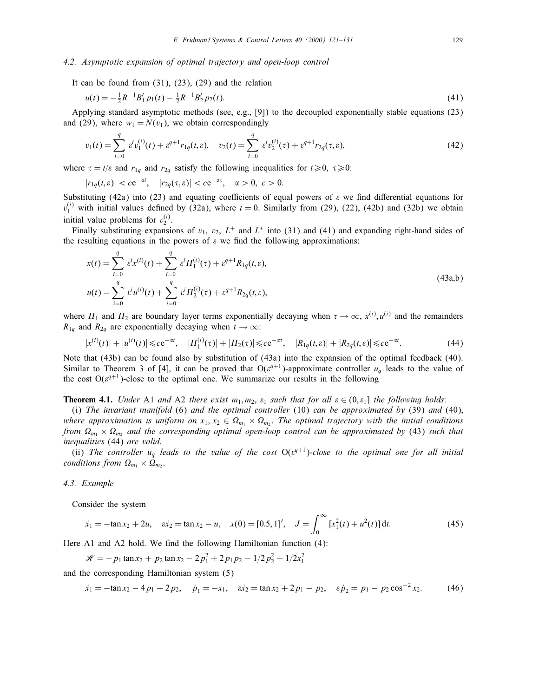#### 4.2. Asymptotic expansion of optimal trajectory and open-loop control

It can be found from  $(31)$ ,  $(23)$ ,  $(29)$  and the relation

$$
u(t) = -\frac{1}{2}R^{-1}B_1'p_1(t) - \frac{1}{2}R^{-1}B_2'p_2(t).
$$
\n(41)

Applying standard asymptotic methods (see, e.g., [9]) to the decoupled exponentially stable equations (23) and (29), where  $w_1 = N(v_1)$ , we obtain correspondingly

$$
v_1(t) = \sum_{i=0}^{q} \varepsilon^{i} v_1^{(i)}(t) + \varepsilon^{q+1} r_{1q}(t, \varepsilon), \quad v_2(t) = \sum_{i=0}^{q} \varepsilon^{i} v_2^{(i)}(\tau) + \varepsilon^{q+1} r_{2q}(\tau, \varepsilon), \tag{42}
$$

where  $\tau = t/\varepsilon$  and  $r_{1q}$  and  $r_{2q}$  satisfy the following inequalities for  $t \ge 0$ ;  $\tau \ge 0$ :

$$
|r_{1q}(t, \varepsilon)| < c e^{-\alpha t}, \quad |r_{2q}(\tau, \varepsilon)| < c e^{-\alpha \tau}, \quad \alpha > 0, \ c > 0.
$$

Substituting (42a) into (23) and equating coefficients of equal powers of  $\varepsilon$  we find differential equations for  $v_1^{(i)}$  with initial values defined by (32a), where  $t = 0$ . Similarly from (29), (22), (42b) and (32b) we obtain initial value problems for  $v_2^{(i)}$ .

Finally substituting expansions of  $v_1$ ,  $v_2$ ,  $L^+$  and  $L^*$  into (31) and (41) and expanding right-hand sides of the resulting equations in the powers of  $\varepsilon$  we find the following approximations:

$$
x(t) = \sum_{i=0}^{q} \varepsilon^{i} x^{(i)}(t) + \sum_{i=0}^{q} \varepsilon^{i} \Pi_{1}^{(i)}(\tau) + \varepsilon^{q+1} R_{1q}(t, \varepsilon),
$$
  
\n
$$
u(t) = \sum_{i=0}^{q} \varepsilon^{i} u^{(i)}(t) + \sum_{i=0}^{q} \varepsilon^{i} \Pi_{2}^{(i)}(\tau) + \varepsilon^{q+1} R_{2q}(t, \varepsilon),
$$
\n(43a,b)

where  $\Pi_1$  and  $\Pi_2$  are boundary layer terms exponentially decaying when  $\tau \to \infty$ ,  $x^{(i)}$ ,  $u^{(i)}$  and the remainders  $R_{1q}$  and  $R_{2q}$  are exponentially decaying when  $t \to \infty$ :

$$
|x^{(i)}(t)| + |u^{(i)}(t)| \le c e^{-\alpha t}, \quad |H_1^{(i)}(\tau)| + |H_2(\tau)| \le c e^{-\alpha \tau}, \quad |R_{1q}(t, \varepsilon)| + |R_{2q}(t, \varepsilon)| \le c e^{-\alpha t}.
$$

Note that (43b) can be found also by substitution of (43a) into the expansion of the optimal feedback (40). Similar to Theorem 3 of [4], it can be proved that  $O(\varepsilon^{q+1})$ -approximate controller  $u_q$  leads to the value of the cost  $O(\varepsilon^{q+1})$ -close to the optimal one. We summarize our results in the following

**Theorem 4.1.** Under A1 and A2 there exist  $m_1, m_2, \varepsilon_1$  such that for all  $\varepsilon \in (0, \varepsilon_1]$  the following holds:

(i) The invariant manifold  $(6)$  and the optimal controller  $(10)$  can be approximated by  $(39)$  and  $(40)$ , where approximation is uniform on  $x_1, x_2 \in \Omega_{m_1} \times \Omega_{m_2}$ . The optimal trajectory with the initial conditions from  $\Omega_{m_1}\times\Omega_{m_2}$  and the corresponding optimal open-loop control can be approximated by (43) such that inequalities (44) are valid.

(ii) The controller  $u_q$  leads to the value of the cost  $O(\epsilon^{q+1})$ -close to the optimal one for all initial conditions from  $\Omega_{m_1} \times \Omega_{m_2}$ .

4.3. Example

Consider the system

$$
\dot{x}_1 = -\tan x_2 + 2u, \quad \dot{x}_2 = \tan x_2 - u, \quad x(0) = [0.5, 1]', \quad J = \int_0^\infty \left[x_1^2(t) + u^2(t)\right] dt. \tag{45}
$$

Here A1 and A2 hold. We find the following Hamiltonian function  $(4)$ :

$$
\mathcal{H} = -p_1 \tan x_2 + p_2 \tan x_2 - 2p_1^2 + 2p_1p_2 - 1/2p_2^2 + 1/2x_1^2
$$

and the corresponding Hamiltonian system (5)

$$
\dot{x}_1 = -\tan x_2 - 4p_1 + 2p_2, \quad \dot{p}_1 = -x_1, \quad \dot{x}_2 = \tan x_2 + 2p_1 - p_2, \quad \dot{\varepsilon}\dot{p}_2 = p_1 - p_2\cos^{-2}x_2. \tag{46}
$$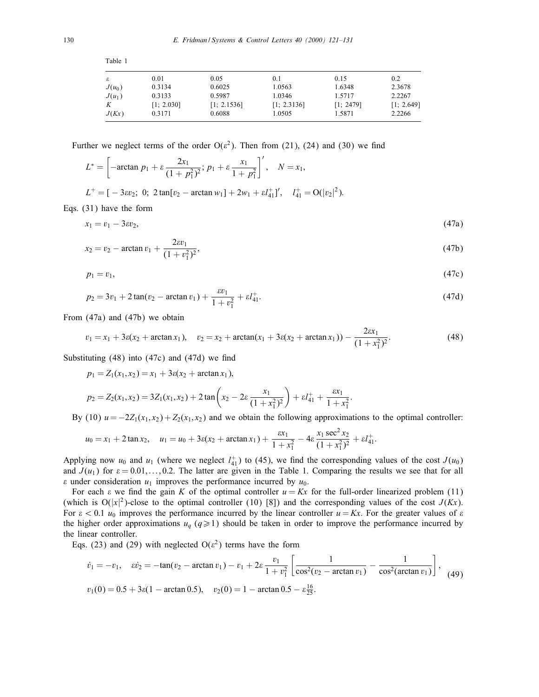| $\varepsilon$ | 0.01       | 0.05        | 0.1         | 0.15      | 0.2        |
|---------------|------------|-------------|-------------|-----------|------------|
| $J(u_0)$      | 0.3134     | 0.6025      | 1.0563      | 1.6348    | 2.3678     |
| $J(u_1)$      | 0.3133     | 0.5987      | 1.0346      | 1.5717    | 2.2267     |
| K             | [1; 2.030] | [1; 2.1536] | [1; 2.3136] | [1: 2479] | [1; 2.649] |
| J(Kx)         | 0.3171     | 0.6088      | 1.0505      | 1.5871    | 2.2266     |

Further we neglect terms of the order  $O(\varepsilon^2)$ . Then from (21), (24) and (30) we find

$$
L^* = \left[ -\arctan p_1 + \varepsilon \frac{2x_1}{(1 + p_1^2)^2}; p_1 + \varepsilon \frac{x_1}{1 + p_1^2} \right]', \quad N = x_1,
$$

 $L^+ = [-3\epsilon v_2; 0; 2\tan[v_2 - \arctan w_1] + 2w_1 + \epsilon l_{41}^+]', \quad l_{41}^+ = O(|v_2|^2).$ 

Eqs. (31) have the form

Table 1

$$
x_1 = v_1 - 3\epsilon v_2,\tag{47a}
$$

$$
x_2 = v_2 - \arctan v_1 + \frac{2\epsilon v_1}{(1 + v_1^2)^2},\tag{47b}
$$

$$
p_1 = v_1,\tag{47c}
$$

$$
p_2 = 3v_1 + 2\tan(v_2 - \arctan v_1) + \frac{\varepsilon v_1}{1 + v_1^2} + \varepsilon l_{41}^+.
$$
 (47d)

From (47a) and (47b) we obtain

$$
v_1 = x_1 + 3\varepsilon(x_2 + \arctan x_1), \quad v_2 = x_2 + \arctan(x_1 + 3\varepsilon(x_2 + \arctan x_1)) - \frac{2\varepsilon x_1}{(1 + x_1^2)^2}.
$$
 (48)

Substituting  $(48)$  into  $(47c)$  and  $(47d)$  we find

 $p_1 = Z_1(x_1, x_2) = x_1 + 3\varepsilon(x_2 + \arctan x_1),$ 

$$
p_2 = Z_2(x_1, x_2) = 3Z_1(x_1, x_2) + 2\tan\left(x_2 - 2\varepsilon\frac{x_1}{(1 + x_1^2)^2}\right) + \varepsilon l_{41}^+ + \frac{\varepsilon x_1}{1 + x_1^2}
$$

By (10)  $u = -2Z_1(x_1, x_2) + Z_2(x_1, x_2)$  and we obtain the following approximations to the optimal controller:

:

$$
u_0 = x_1 + 2 \tan x_2, \quad u_1 = u_0 + 3\varepsilon (x_2 + \arctan x_1) + \frac{\varepsilon x_1}{1 + x_1^2} - 4\varepsilon \frac{x_1 \sec^2 x_2}{(1 + x_1^2)^2} + \varepsilon l_{41}^+.
$$

Applying now  $u_0$  and  $u_1$  (where we neglect  $l_{41}^+$ ) to (45), we find the corresponding values of the cost  $J(u_0)$ and  $J(u_1)$  for  $\varepsilon = 0.01,...,0.2$ . The latter are given in the Table 1. Comparing the results we see that for all  $\varepsilon$  under consideration  $u_1$  improves the performance incurred by  $u_0$ .

For each  $\varepsilon$  we find the gain K of the optimal controller  $u = Kx$  for the full-order linearized problem (11) (which is  $O(|x|^2)$ -close to the optimal controller (10) [8]) and the corresponding values of the cost  $J(Kx)$ . For  $\varepsilon < 0.1$  u<sub>0</sub> improves the performance incurred by the linear controller  $u = Kx$ . For the greater values of  $\varepsilon$ the higher order approximations  $u_q$  ( $q \ge 1$ ) should be taken in order to improve the performance incurred by the linear controller.

Eqs. (23) and (29) with neglected  $O(\varepsilon^2)$  terms have the form

$$
\dot{v}_1 = -v_1, \quad \varepsilon \dot{v}_2 = -\tan(v_2 - \arctan v_1) - v_1 + 2\varepsilon \frac{v_1}{1 + v_1^2} \left[ \frac{1}{\cos^2(v_2 - \arctan v_1)} - \frac{1}{\cos^2(\arctan v_1)} \right],
$$
\n
$$
v_1(0) = 0.5 + 3\varepsilon (1 - \arctan 0.5), \quad v_2(0) = 1 - \arctan 0.5 - \varepsilon \frac{16}{25}.
$$
\n(49)